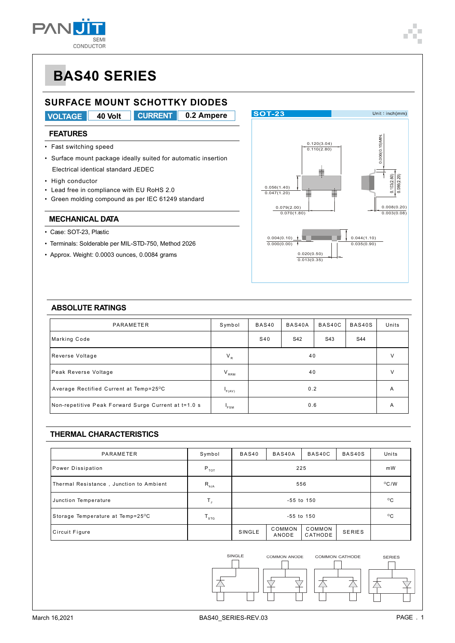

### **SURFACE MOUNT SCHOTTKY DIODES**

**VOLTAGE 40 Volt 0.2 Ampere CURRENT**

### **FEATURES**

- Fast switching speed
- Surface mount package ideally suited for automatic insertion Electrical identical standard JEDEC
- High conductor
- Lead free in compliance with EU RoHS 2.0
- Green molding compound as per IEC 61249 standard

#### **MECHANICAL DATA**

- Case: SOT-23, Plastic
- Terminals: Solderable per MIL-STD-750, Method 2026
- Approx. Weight: 0.0003 ounces, 0.0084 grams



### **ABSOLUTE RATINGS**

| PARAMETER                                            | Symbol     | BAS40C<br>BAS40<br>BAS40A |     |     | BAS40S | Units |
|------------------------------------------------------|------------|---------------------------|-----|-----|--------|-------|
| Marking Code                                         |            | S40                       | S42 | S43 | S44    |       |
| Reverse Voltage                                      | $V_R$      |                           | v   |     |        |       |
| Peak Reverse Voltage                                 | $V_{RRM}$  | 40                        |     |     | V      |       |
| Average Rectified Current at Temp=25°C               | F(AV)      | 0.2                       |     |     | A      |       |
| Non-repetitive Peak Forward Surge Current at t=1.0 s | <b>FSM</b> | 0.6                       |     |     | A      |       |

### **THERMAL CHARACTERISTICS**

| PARAMETER                               | Symbol            | BAS40          | BAS40A          | BAS40C            | BAS40S        | Units        |
|-----------------------------------------|-------------------|----------------|-----------------|-------------------|---------------|--------------|
| Power Dissipation                       | $P_{\tau o \tau}$ |                | mW              |                   |               |              |
| Thermal Resistance, Junction to Ambient | $R_{\theta JA}$   |                | $^{\circ}$ C/W  |                   |               |              |
| Junction Temperature                    | Т,                |                | $^{\circ}$ C    |                   |               |              |
| Storage Temperature at Temp=25°C        | ${\tt T_{src}}$   | $-55$ to $150$ |                 |                   |               | $^{\circ}$ C |
| Circuit Figure                          |                   | SINGLE         | COMMON<br>ANODE | COMMON<br>CATHODE | <b>SERIES</b> |              |

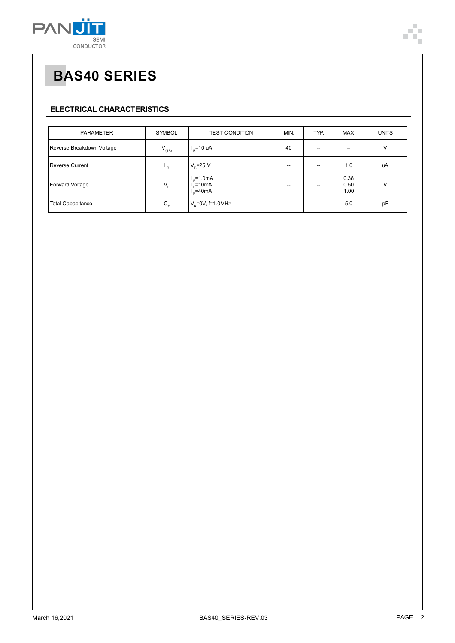

# **BAS40 SERIES**

### **ELECTRICAL CHARACTERISTICS**

| <b>PARAMETER</b>          | SYMBOL                    | <b>TEST CONDITION</b>                     | MIN. | TYP. | MAX.                     | <b>UNITS</b> |
|---------------------------|---------------------------|-------------------------------------------|------|------|--------------------------|--------------|
| Reverse Breakdown Voltage | $V_{(BR)}$                | $I_p = 10$ uA                             | 40   | --   | $\overline{\phantom{m}}$ | V            |
| <b>Reverse Current</b>    | $\mathsf{F}_{\mathsf{R}}$ | $V_{\rm p}$ =25 V                         |      | --   | 1.0                      | uA           |
| Forward Voltage           | $V_F$                     | $I_e$ =1.0mA<br>$l_e$ =10mA<br>$L = 40mA$ |      |      | 0.38<br>0.50<br>1.00     | V            |
| <b>Total Capacitance</b>  | $C_{\tau}$                | $V_e = 0V$ , f=1.0MHz                     |      |      | 5.0                      | pF           |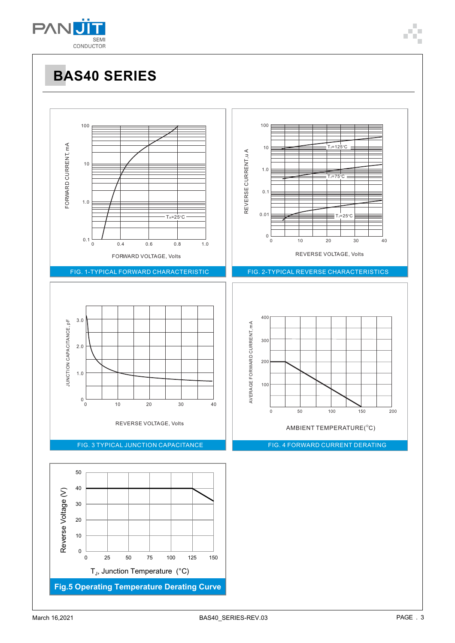

# **BAS40 SERIES**

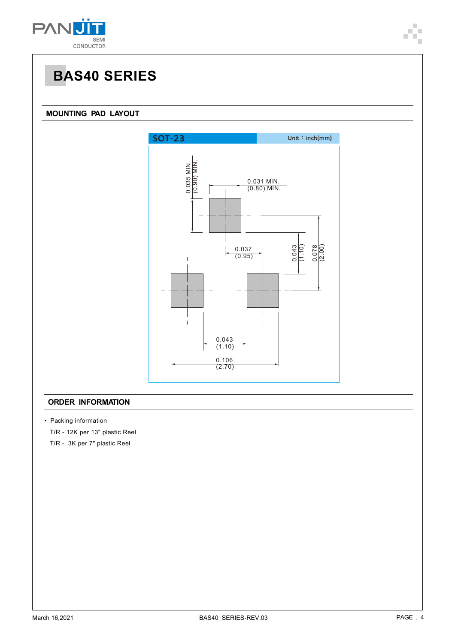

### **MOUNTING PAD LAYOUT**



### **ORDER INFORMATION**

- Packing information
	- T/R 12K per 13" plastic Reel
	- T/R 3K per 7" plastic Reel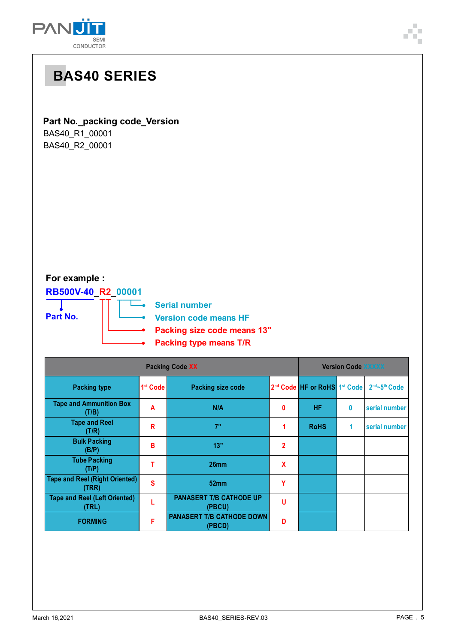



### **For example :**

**RB500V-40\_R2\_00001**

**Part No.**

**Serial number**

▃

**Version code means HF**

- **Packing size code means 13"**
- **Packing type means T/R**

| Packing Code XX                                |                      |                                            |              | <b>Version Code XXXXX</b>                            |   |               |  |
|------------------------------------------------|----------------------|--------------------------------------------|--------------|------------------------------------------------------|---|---------------|--|
| <b>Packing type</b>                            | 1 <sup>st</sup> Code | <b>Packing size code</b>                   |              | 2 <sup>nd</sup> Code HF or RoHS 1 <sup>st</sup> Code |   | 2nd~5th Code  |  |
| <b>Tape and Ammunition Box</b><br>(T/B)        | A                    | N/A                                        | $\mathbf{0}$ | <b>HF</b>                                            | 0 | serial number |  |
| <b>Tape and Reel</b><br>(T/R)                  | R                    | 7"                                         |              | <b>RoHS</b>                                          | 1 | serial number |  |
| <b>Bulk Packing</b><br>(B/P)                   | в                    | 13"                                        | $\mathbf{2}$ |                                                      |   |               |  |
| <b>Tube Packing</b><br>(T/P)                   |                      | 26 <sub>mm</sub>                           | X            |                                                      |   |               |  |
| <b>Tape and Reel (Right Oriented)</b><br>(TRR) | S                    | 52mm                                       | Υ            |                                                      |   |               |  |
| <b>Tape and Reel (Left Oriented)</b><br>(TRL)  |                      | <b>PANASERT T/B CATHODE UP</b><br>(PBCU)   | u            |                                                      |   |               |  |
| <b>FORMING</b>                                 | F                    | <b>PANASERT T/B CATHODE DOWN</b><br>(PBCD) | D            |                                                      |   |               |  |